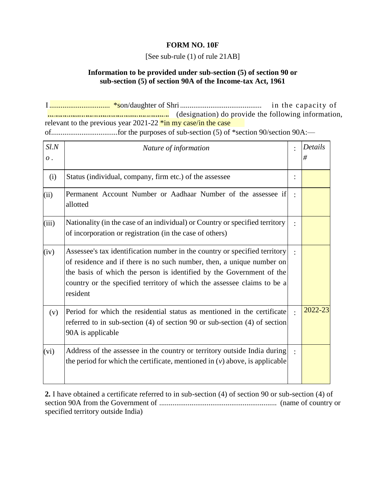## **FORM NO. 10F**

[See sub-rule (1) of rule 21AB]

## **Information to be provided under sub-section (5) of section 90 or sub-section (5) of section 90A of the Income-tax Act, 1961**

of...................................for the purposes of sub-section (5) of \*section 90/section 90A:— I................................ \*son/daughter of Shri........................................... in the capacity of **EXECUTE:** (designation) do provide the following information, relevant to the previous year  $2021-22$   $\frac{\pi}{\text{in}}$  my case/in the case

| Sl.N<br>$\overline{o}$ . | Nature of information                                                                                                                                                                                                                                                                                              | Details<br># |
|--------------------------|--------------------------------------------------------------------------------------------------------------------------------------------------------------------------------------------------------------------------------------------------------------------------------------------------------------------|--------------|
| (i)                      | Status (individual, company, firm etc.) of the assessee                                                                                                                                                                                                                                                            |              |
| (ii)                     | Permanent Account Number or Aadhaar Number of the assessee if<br>allotted                                                                                                                                                                                                                                          |              |
| (iii)                    | Nationality (in the case of an individual) or Country or specified territory<br>of incorporation or registration (in the case of others)                                                                                                                                                                           |              |
| (iv)                     | Assessee's tax identification number in the country or specified territory<br>of residence and if there is no such number, then, a unique number on<br>the basis of which the person is identified by the Government of the<br>country or the specified territory of which the assessee claims to be a<br>resident |              |
| (v)                      | Period for which the residential status as mentioned in the certificate<br>referred to in sub-section $(4)$ of section 90 or sub-section $(4)$ of section<br>90A is applicable                                                                                                                                     | 2022-23      |
| (vi)                     | Address of the assessee in the country or territory outside India during<br>the period for which the certificate, mentioned in $(v)$ above, is applicable                                                                                                                                                          |              |

**2.** I have obtained a certificate referred to in sub-section (4) of section 90 or sub-section (4) of section 90A from the Government of .............................................................. (name of country or specified territory outside India)